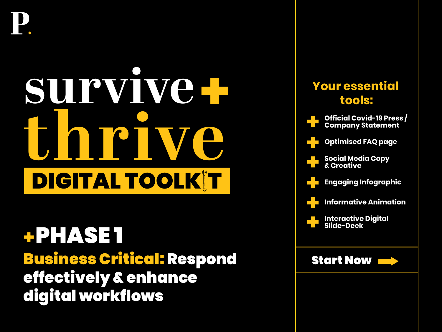# **survive the most of the set of the set of the set of the set of the set of the set of the set of the set of the set of the set of the set of the set of the set of the set of the set of the set of the set of the set of the set of DIGITAL TOOLK T**

Business Critical: Respond effectively & enhance digital workflows PHASE 1

## **Your essential tools: [Official Covid-19 Press /](#page-1-0)  Company Statement [Social Media Copy](#page-3-0)  & Creative [Engaging Infographic](#page-5-0)  [Informative Animation](#page-6-0)  [Interactive Digital](#page-7-0)  Slide-Deck [Optimised FAQ page](#page-2-0)**  Start Now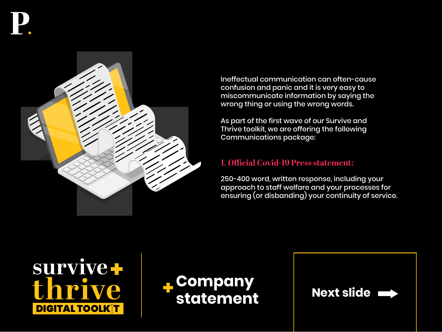<span id="page-1-0"></span>

Ineffectual communication can often-cause confusion and panic and it is very easy to miscommunicate information by saying the wrong thing or using the wrong words.

As part of the first wave of our Survive and Thrive toolkit, we are offering the following Communications package:

#### **1. Official Covid-19 Press statement:**

250-400 word, written response, including your approach to staff welfare and your processes for ensuring (or disbanding) your continuity of service.





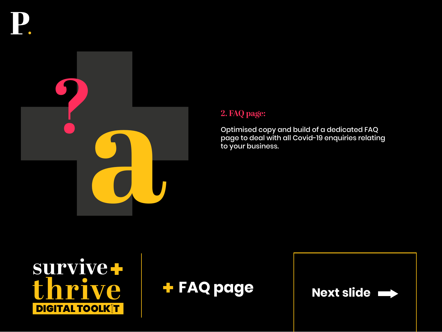<span id="page-2-0"></span>

### **2. FAQ page:**

Optimised copy and build of a dedicated FAQ page to deal with all Covid-19 enquiries relating to your business.



**FAQ page**

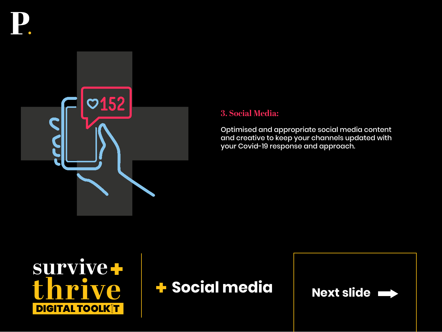<span id="page-3-0"></span>



#### **3. Social Media:**

Optimised and appropriate social media content and creative to keep your channels updated with your Covid-19 response and approach.





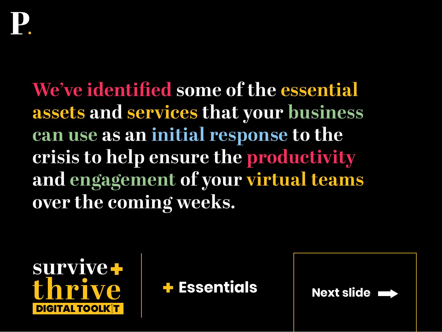<span id="page-4-0"></span>**We've identified some of the essential assets and services that your business can use as an initial response to the crisis to help ensure the productivity and engagement of your virtual teams over the coming weeks.** 





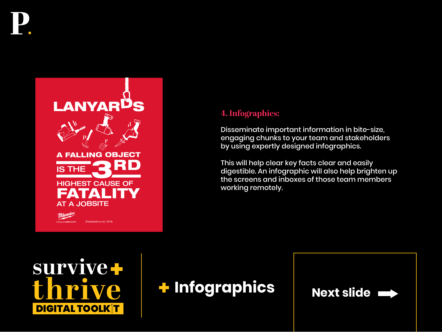<span id="page-5-0"></span>



## **4. Infographics:**

Disseminate important information in bite-size, engaging chunks to your team and stakeholders by using expertly designed infographics.

This will help clear key facts clear and easily digestible. An infographic will also help brighten up the screens and inboxes of those team members working remotely.





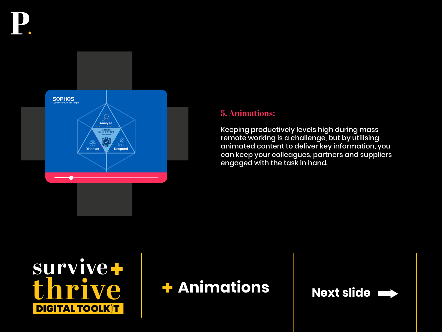<span id="page-6-0"></span>

#### **5. Animations:**

Keeping productively levels high during mass remote working is a challenge, but by utilising animated content to deliver key information, you can keep your colleagues, partners and suppliers engaged with the task in hand.





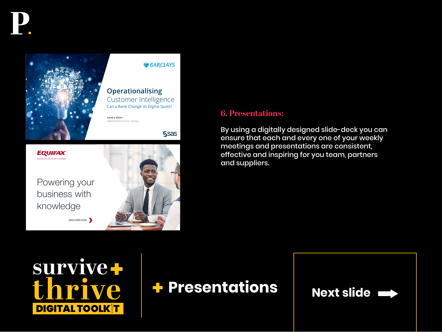<span id="page-7-0"></span>

#### **W**BARCLAYS

**Ssas** 

**Operationalising**  Customer Intelligence Can a Bank Change its Digital Spots?

Digital Marketing Director, Barclays

**EQUIFAX** Powering the World with Knowledge™

Powering your business with knowledge



#### **6. Presentations:**

By using a digitally designed slide-deck you can ensure that each and every one of your weekly meetings and presentations are consistent, effective and inspiring for you team, partners and suppliers.



DISCOVER HOW